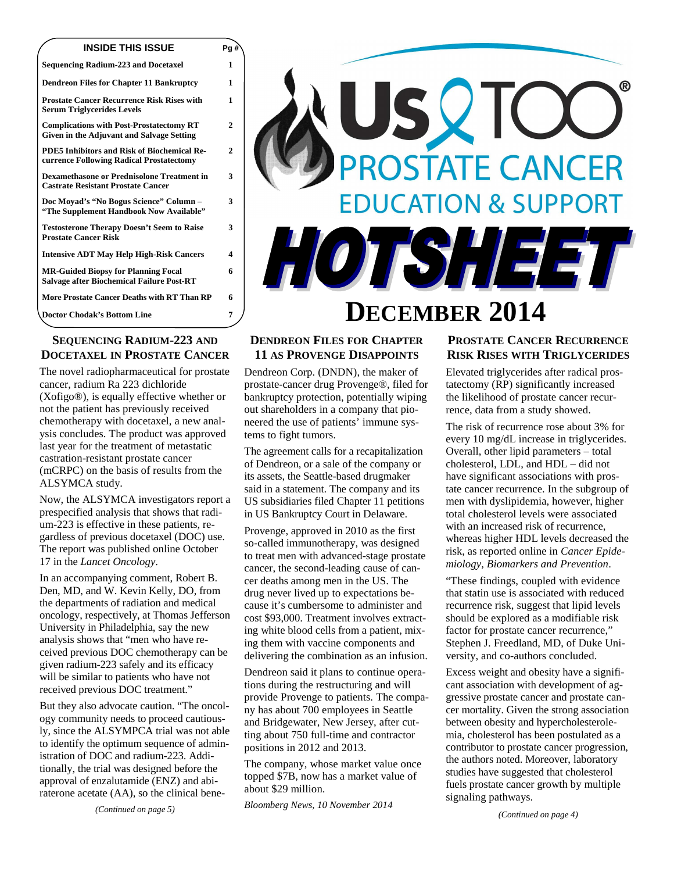| <b>INSIDE THIS ISSUE</b>                                                                       | Pa #` |
|------------------------------------------------------------------------------------------------|-------|
| <b>Sequencing Radium-223 and Docetaxel</b>                                                     | 1     |
| <b>Dendreon Files for Chapter 11 Bankruptcy</b>                                                | 1     |
| <b>Prostate Cancer Recurrence Risk Rises with</b><br><b>Serum Triglycerides Levels</b>         | 1     |
| <b>Complications with Post-Prostatectomy RT</b><br>Given in the Adjuvant and Salvage Setting   | 2     |
| <b>PDE5 Inhibitors and Risk of Biochemical Re-</b><br>currence Following Radical Prostatectomy | 2     |
| <b>Dexamethasone or Prednisolone Treatment in</b><br><b>Castrate Resistant Prostate Cancer</b> | 3     |
| Doc Moyad's "No Bogus Science" Column -<br>"The Supplement Handbook Now Available"             | 3     |
| <b>Testosterone Therapy Doesn't Seem to Raise</b><br><b>Prostate Cancer Risk</b>               | 3     |
| <b>Intensive ADT May Help High-Risk Cancers</b>                                                | 4     |
| <b>MR-Guided Biopsy for Planning Focal</b><br><b>Salvage after Biochemical Failure Post-RT</b> | 6     |
| More Prostate Cancer Deaths with RT Than RP                                                    | 6     |
| <b>Doctor Chodak's Bottom Line</b>                                                             | 7     |

# **SEQUENCING RADIUM-223 AND DOCETAXEL IN PROSTATE CANCER**

The novel radiopharmaceutical for prostate cancer, radium Ra 223 dichloride (Xofigo®), is equally effective whether or not the patient has previously received chemotherapy with docetaxel, a new analysis concludes. The product was approved last year for the treatment of metastatic castration-resistant prostate cancer (mCRPC) on the basis of results from the ALSYMCA study.

Now, the ALSYMCA investigators report a prespecified analysis that shows that radium-223 is effective in these patients, regardless of previous docetaxel (DOC) use. The report was published online October 17 in the *Lancet Oncology*.

In an accompanying comment, Robert B. Den, MD, and W. Kevin Kelly, DO, from the departments of radiation and medical oncology, respectively, at Thomas Jefferson University in Philadelphia, say the new analysis shows that "men who have received previous DOC chemotherapy can be given radium-223 safely and its efficacy will be similar to patients who have not received previous DOC treatment."

But they also advocate caution. "The oncology community needs to proceed cautiously, since the ALSYMPCA trial was not able to identify the optimum sequence of administration of DOC and radium-223. Additionally, the trial was designed before the approval of enzalutamide (ENZ) and abiraterone acetate (AA), so the clinical bene-



## **DENDREON FILES FOR CHAPTER 11 AS PROVENGE DISAPPOINTS**

Dendreon Corp. (DNDN), the maker of prostate-cancer drug Provenge®, filed for bankruptcy protection, potentially wiping out shareholders in a company that pioneered the use of patients' immune systems to fight tumors.

The agreement calls for a recapitalization of Dendreon, or a sale of the company or its assets, the Seattle-based drugmaker said in a statement. The company and its US subsidiaries filed Chapter 11 petitions in US Bankruptcy Court in Delaware.

Provenge, approved in 2010 as the first so-called immunotherapy, was designed to treat men with advanced-stage prostate cancer, the second-leading cause of cancer deaths among men in the US. The drug never lived up to expectations because it's cumbersome to administer and cost \$93,000. Treatment involves extracting white blood cells from a patient, mixing them with vaccine components and delivering the combination as an infusion.

Dendreon said it plans to continue operations during the restructuring and will provide Provenge to patients. The company has about 700 employees in Seattle and Bridgewater, New Jersey, after cutting about 750 full-time and contractor positions in 2012 and 2013.

The company, whose market value once topped \$7B, now has a market value of about \$29 million.

*Bloomberg News, 10 November 2014* 

# **PROSTATE CANCER RECURRENCE RISK RISES WITH TRIGLYCERIDES**

Elevated triglycerides after radical prostatectomy (RP) significantly increased the likelihood of prostate cancer recurrence, data from a study showed.

The risk of recurrence rose about 3% for every 10 mg/dL increase in triglycerides. Overall, other lipid parameters – total cholesterol, LDL, and HDL – did not have significant associations with prostate cancer recurrence. In the subgroup of men with dyslipidemia, however, higher total cholesterol levels were associated with an increased risk of recurrence, whereas higher HDL levels decreased the risk, as reported online in *Cancer Epidemiology, Biomarkers and Prevention*.

"These findings, coupled with evidence that statin use is associated with reduced recurrence risk, suggest that lipid levels should be explored as a modifiable risk factor for prostate cancer recurrence," Stephen J. Freedland, MD, of Duke University, and co-authors concluded.

Excess weight and obesity have a significant association with development of aggressive prostate cancer and prostate cancer mortality. Given the strong association between obesity and hypercholesterolemia, cholesterol has been postulated as a contributor to prostate cancer progression, the authors noted. Moreover, laboratory studies have suggested that cholesterol fuels prostate cancer growth by multiple signaling pathways.

*(Continued on page 4)* 

*(Continued on page 5)*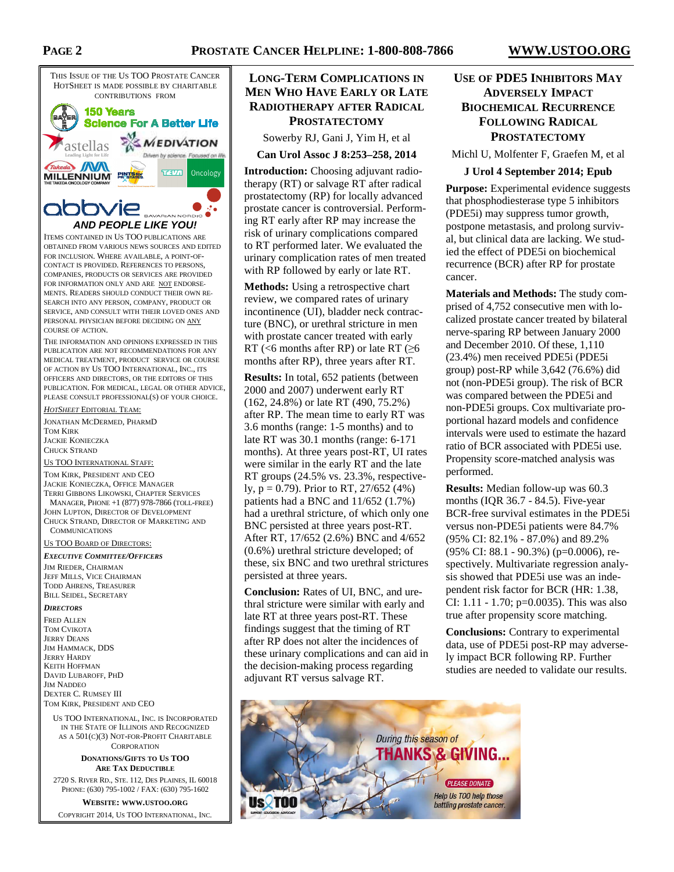

ITEMS CONTAINED IN US TOO PUBLICATIONS ARE OBTAINED FROM VARIOUS NEWS SOURCES AND EDITED FOR INCLUSION. WHERE AVAILABLE, A POINT-OF-CONTACT IS PROVIDED. REFERENCES TO PERSONS, COMPANIES, PRODUCTS OR SERVICES ARE PROVIDED FOR INFORMATION ONLY AND ARE NOT ENDORSE-MENTS. READERS SHOULD CONDUCT THEIR OWN RE-SEARCH INTO ANY PERSON, COMPANY, PRODUCT OR SERVICE, AND CONSULT WITH THEIR LOVED ONES AND PERSONAL PHYSICIAN BEFORE DECIDING ON ANY COURSE OF ACTION.

THE INFORMATION AND OPINIONS EXPRESSED IN THIS PUBLICATION ARE NOT RECOMMENDATIONS FOR ANY MEDICAL TREATMENT, PRODUCT SERVICE OR COURSE OF ACTION BY US TOO INTERNATIONAL, INC., ITS OFFICERS AND DIRECTORS, OR THE EDITORS OF THIS PUBLICATION. FOR MEDICAL, LEGAL OR OTHER ADVICE, PLEASE CONSULT PROFESSIONAL(S) OF YOUR CHOICE.

*HOTSHEET* EDITORIAL TEAM:

JONATHAN MCDERMED, PHARMD TOM KIRK JACKIE KONIECZKA CHUCK STRAND

US TOO INTERNATIONAL STAFF:

TOM KIRK, PRESIDENT AND CEO JACKIE KONIECZKA, OFFICE MANAGER TERRI GIBBONS LIKOWSKI, CHAPTER SERVICES MANAGER, PHONE +1 (877) 978-7866 (TOLL-FREE) JOHN LUPTON, DIRECTOR OF DEVELOPMENT CHUCK STRAND, DIRECTOR OF MARKETING AND **COMMUNICATIONS** 

US TOO BOARD OF DIRECTORS:

#### *EXECUTIVE COMMITTEE/OFFICERS*

JIM RIEDER, CHAIRMAN JEFF MILLS, VICE CHAIRMAN TODD AHRENS, TREASURER BILL SEIDEL, SECRETARY

#### *DIRECTORS*

FRED ALLEN TOM CVIKOTA JERRY DEANS JIM HAMMACK, DDS JERRY HARDY KEITH HOFFMAN DAVID LUBAROFF, PHD JIM NADDEO DEXTER C. RUMSEY III TOM KIRK, PRESIDENT AND CEO

US TOO INTERNATIONAL, INC. IS INCORPORATED IN THE STATE OF ILLINOIS AND RECOGNIZED AS A 501(C)(3) NOT-FOR-PROFIT CHARITABLE **CORPORATION** 

#### **DONATIONS/GIFTS TO US TOO ARE TAX DEDUCTIBLE**

2720 S. RIVER RD., STE. 112, DES PLAINES, IL 60018 PHONE: (630) 795-1002 / FAX: (630) 795-1602

**WEBSITE: WWW.USTOO.ORG** COPYRIGHT 2014, US TOO INTERNATIONAL, INC.

# **LONG-TERM COMPLICATIONS IN MEN WHO HAVE EARLY OR LATE RADIOTHERAPY AFTER RADICAL PROSTATECTOMY**

Sowerby RJ, Gani J, Yim H, et al

**Can Urol Assoc J 8:253–258, 2014** 

**Introduction:** Choosing adjuvant radiotherapy (RT) or salvage RT after radical prostatectomy (RP) for locally advanced prostate cancer is controversial. Performing RT early after RP may increase the risk of urinary complications compared to RT performed later. We evaluated the urinary complication rates of men treated with RP followed by early or late RT.

**Methods:** Using a retrospective chart review, we compared rates of urinary incontinence (UI), bladder neck contracture (BNC), or urethral stricture in men with prostate cancer treated with early RT (<6 months after RP) or late RT ( $\geq 6$ months after RP), three years after RT.

**Results:** In total, 652 patients (between 2000 and 2007) underwent early RT (162, 24.8%) or late RT (490, 75.2%) after RP. The mean time to early RT was 3.6 months (range: 1-5 months) and to late RT was 30.1 months (range: 6-171 months). At three years post-RT, UI rates were similar in the early RT and the late RT groups (24.5% vs. 23.3%, respectively,  $p = 0.79$ ). Prior to RT, 27/652 (4%) patients had a BNC and 11/652 (1.7%) had a urethral stricture, of which only one BNC persisted at three years post-RT. After RT, 17/652 (2.6%) BNC and 4/652 (0.6%) urethral stricture developed; of these, six BNC and two urethral strictures persisted at three years.

**Conclusion:** Rates of UI, BNC, and urethral stricture were similar with early and late RT at three years post-RT. These findings suggest that the timing of RT after RP does not alter the incidences of these urinary complications and can aid in the decision-making process regarding adjuvant RT versus salvage RT.

# **USE OF PDE5 INHIBITORS MAY ADVERSELY IMPACT BIOCHEMICAL RECURRENCE FOLLOWING RADICAL PROSTATECTOMY**

Michl U, Molfenter F, Graefen M, et al

#### **J Urol 4 September 2014; Epub**

**Purpose:** Experimental evidence suggests that phosphodiesterase type 5 inhibitors (PDE5i) may suppress tumor growth, postpone metastasis, and prolong survival, but clinical data are lacking. We studied the effect of PDE5i on biochemical recurrence (BCR) after RP for prostate cancer.

**Materials and Methods:** The study comprised of 4,752 consecutive men with localized prostate cancer treated by bilateral nerve-sparing RP between January 2000 and December 2010. Of these, 1,110 (23.4%) men received PDE5i (PDE5i group) post-RP while 3,642 (76.6%) did not (non-PDE5i group). The risk of BCR was compared between the PDE5i and non-PDE5i groups. Cox multivariate proportional hazard models and confidence intervals were used to estimate the hazard ratio of BCR associated with PDE5i use. Propensity score-matched analysis was performed.

**Results:** Median follow-up was 60.3 months (IQR 36.7 - 84.5). Five-year BCR-free survival estimates in the PDE5i versus non-PDE5i patients were 84.7% (95% CI: 82.1% - 87.0%) and 89.2% (95% CI: 88.1 - 90.3%) (p=0.0006), respectively. Multivariate regression analysis showed that PDE5i use was an independent risk factor for BCR (HR: 1.38, CI: 1.11 - 1.70; p=0.0035). This was also true after propensity score matching.

**Conclusions:** Contrary to experimental data, use of PDE5i post-RP may adversely impact BCR following RP. Further studies are needed to validate our results.

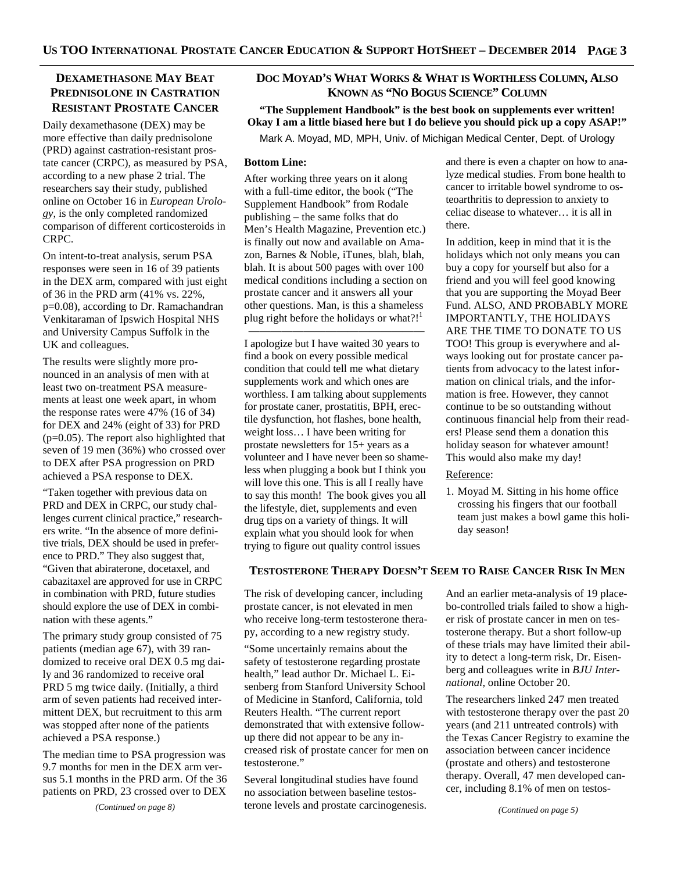## **DEXAMETHASONE MAY BEAT PREDNISOLONE IN CASTRATION RESISTANT PROSTATE CANCER**

Daily dexamethasone (DEX) may be more effective than daily prednisolone (PRD) against castration-resistant prostate cancer (CRPC), as measured by PSA, according to a new phase 2 trial. The researchers say their study, published online on October 16 in *European Urology*, is the only completed randomized comparison of different corticosteroids in CRPC.

On intent-to-treat analysis, serum PSA responses were seen in 16 of 39 patients in the DEX arm, compared with just eight of 36 in the PRD arm (41% vs. 22%, p=0.08), according to Dr. Ramachandran Venkitaraman of Ipswich Hospital NHS and University Campus Suffolk in the UK and colleagues.

The results were slightly more pronounced in an analysis of men with at least two on-treatment PSA measurements at least one week apart, in whom the response rates were 47% (16 of 34) for DEX and 24% (eight of 33) for PRD (p=0.05). The report also highlighted that seven of 19 men (36%) who crossed over to DEX after PSA progression on PRD achieved a PSA response to DEX.

"Taken together with previous data on PRD and DEX in CRPC, our study challenges current clinical practice," researchers write. "In the absence of more definitive trials, DEX should be used in preference to PRD." They also suggest that, "Given that abiraterone, docetaxel, and cabazitaxel are approved for use in CRPC in combination with PRD, future studies should explore the use of DEX in combination with these agents."

The primary study group consisted of 75 patients (median age 67), with 39 randomized to receive oral DEX 0.5 mg daily and 36 randomized to receive oral PRD 5 mg twice daily. (Initially, a third arm of seven patients had received intermittent DEX, but recruitment to this arm was stopped after none of the patients achieved a PSA response.)

The median time to PSA progression was 9.7 months for men in the DEX arm versus 5.1 months in the PRD arm. Of the 36 patients on PRD, 23 crossed over to DEX

*(Continued on page 8)* 

# **DOC MOYAD'S WHAT WORKS & WHAT IS WORTHLESS COLUMN, ALSO KNOWN AS "NO BOGUS SCIENCE" COLUMN**

**"The Supplement Handbook" is the best book on supplements ever written! Okay I am a little biased here but I do believe you should pick up a copy ASAP!"**  Mark A. Moyad, MD, MPH, Univ. of Michigan Medical Center, Dept. of Urology

#### **Bottom Line:**

After working three years on it along with a full-time editor, the book ("The Supplement Handbook" from Rodale publishing – the same folks that do Men's Health Magazine, Prevention etc.) is finally out now and available on Amazon, Barnes & Noble, iTunes, blah, blah, blah. It is about 500 pages with over 100 medical conditions including a section on prostate cancer and it answers all your other questions. Man, is this a shameless plug right before the holidays or what?!

————————————————

I apologize but I have waited 30 years to find a book on every possible medical condition that could tell me what dietary supplements work and which ones are worthless. I am talking about supplements for prostate caner, prostatitis, BPH, erectile dysfunction, hot flashes, bone health, weight loss… I have been writing for prostate newsletters for 15+ years as a volunteer and I have never been so shameless when plugging a book but I think you will love this one. This is all I really have to say this month! The book gives you all the lifestyle, diet, supplements and even drug tips on a variety of things. It will explain what you should look for when trying to figure out quality control issues

and there is even a chapter on how to analyze medical studies. From bone health to cancer to irritable bowel syndrome to osteoarthritis to depression to anxiety to celiac disease to whatever… it is all in there.

In addition, keep in mind that it is the holidays which not only means you can buy a copy for yourself but also for a friend and you will feel good knowing that you are supporting the Moyad Beer Fund. ALSO, AND PROBABLY MORE IMPORTANTLY, THE HOLIDAYS ARE THE TIME TO DONATE TO US TOO! This group is everywhere and always looking out for prostate cancer patients from advocacy to the latest information on clinical trials, and the information is free. However, they cannot continue to be so outstanding without continuous financial help from their readers! Please send them a donation this holiday season for whatever amount! This would also make my day!

Reference:

1. Moyad M. Sitting in his home office crossing his fingers that our football team just makes a bowl game this holiday season!

## **TESTOSTERONE THERAPY DOESN'T SEEM TO RAISE CANCER RISK IN MEN**

The risk of developing cancer, including prostate cancer, is not elevated in men who receive long-term testosterone therapy, according to a new registry study.

"Some uncertainly remains about the safety of testosterone regarding prostate health," lead author Dr. Michael L. Eisenberg from Stanford University School of Medicine in Stanford, California, told Reuters Health. "The current report demonstrated that with extensive followup there did not appear to be any increased risk of prostate cancer for men on testosterone."

Several longitudinal studies have found no association between baseline testosterone levels and prostate carcinogenesis. And an earlier meta-analysis of 19 placebo-controlled trials failed to show a higher risk of prostate cancer in men on testosterone therapy. But a short follow-up of these trials may have limited their ability to detect a long-term risk, Dr. Eisenberg and colleagues write in *BJU International*, online October 20.

The researchers linked 247 men treated with testosterone therapy over the past 20 years (and 211 untreated controls) with the Texas Cancer Registry to examine the association between cancer incidence (prostate and others) and testosterone therapy. Overall, 47 men developed cancer, including 8.1% of men on testos-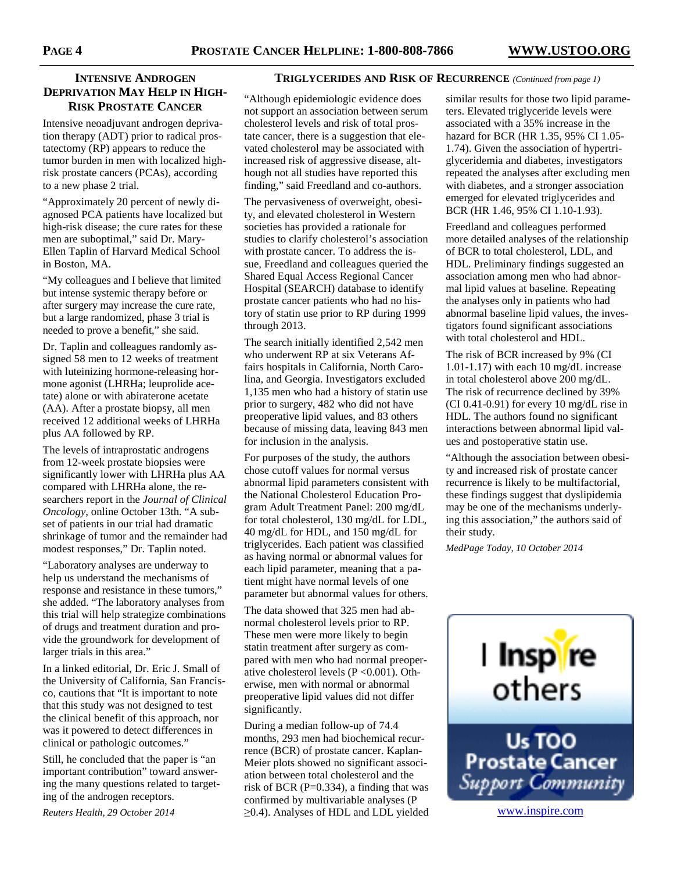## **INTENSIVE ANDROGEN DEPRIVATION MAY HELP IN HIGH-RISK PROSTATE CANCER**

Intensive neoadjuvant androgen deprivation therapy (ADT) prior to radical prostatectomy (RP) appears to reduce the tumor burden in men with localized highrisk prostate cancers (PCAs), according to a new phase 2 trial.

"Approximately 20 percent of newly diagnosed PCA patients have localized but high-risk disease; the cure rates for these men are suboptimal," said Dr. Mary-Ellen Taplin of Harvard Medical School in Boston, MA.

"My colleagues and I believe that limited but intense systemic therapy before or after surgery may increase the cure rate, but a large randomized, phase 3 trial is needed to prove a benefit," she said.

Dr. Taplin and colleagues randomly assigned 58 men to 12 weeks of treatment with luteinizing hormone-releasing hormone agonist (LHRHa; leuprolide acetate) alone or with abiraterone acetate (AA). After a prostate biopsy, all men received 12 additional weeks of LHRHa plus AA followed by RP.

The levels of intraprostatic androgens from 12-week prostate biopsies were significantly lower with LHRHa plus AA compared with LHRHa alone, the researchers report in the *Journal of Clinical Oncology*, online October 13th. "A subset of patients in our trial had dramatic shrinkage of tumor and the remainder had modest responses," Dr. Taplin noted.

"Laboratory analyses are underway to help us understand the mechanisms of response and resistance in these tumors," she added. "The laboratory analyses from this trial will help strategize combinations of drugs and treatment duration and provide the groundwork for development of larger trials in this area."

In a linked editorial, Dr. Eric J. Small of the University of California, San Francisco, cautions that "It is important to note that this study was not designed to test the clinical benefit of this approach, nor was it powered to detect differences in clinical or pathologic outcomes."

Still, he concluded that the paper is "an important contribution" toward answering the many questions related to targeting of the androgen receptors.

*Reuters Health, 29 October 2014* 

## **TRIGLYCERIDES AND RISK OF RECURRENCE** *(Continued from page 1)*

"Although epidemiologic evidence does not support an association between serum cholesterol levels and risk of total prostate cancer, there is a suggestion that elevated cholesterol may be associated with increased risk of aggressive disease, although not all studies have reported this finding," said Freedland and co-authors.

The pervasiveness of overweight, obesity, and elevated cholesterol in Western societies has provided a rationale for studies to clarify cholesterol's association with prostate cancer. To address the issue, Freedland and colleagues queried the Shared Equal Access Regional Cancer Hospital (SEARCH) database to identify prostate cancer patients who had no history of statin use prior to RP during 1999 through 2013.

The search initially identified 2,542 men who underwent RP at six Veterans Affairs hospitals in California, North Carolina, and Georgia. Investigators excluded 1,135 men who had a history of statin use prior to surgery, 482 who did not have preoperative lipid values, and 83 others because of missing data, leaving 843 men for inclusion in the analysis.

For purposes of the study, the authors chose cutoff values for normal versus abnormal lipid parameters consistent with the National Cholesterol Education Program Adult Treatment Panel: 200 mg/dL for total cholesterol, 130 mg/dL for LDL, 40 mg/dL for HDL, and 150 mg/dL for triglycerides. Each patient was classified as having normal or abnormal values for each lipid parameter, meaning that a patient might have normal levels of one parameter but abnormal values for others.

The data showed that 325 men had abnormal cholesterol levels prior to RP. These men were more likely to begin statin treatment after surgery as compared with men who had normal preoperative cholesterol levels  $(P \le 0.001)$ . Otherwise, men with normal or abnormal preoperative lipid values did not differ significantly.

During a median follow-up of 74.4 months, 293 men had biochemical recurrence (BCR) of prostate cancer. Kaplan-Meier plots showed no significant association between total cholesterol and the risk of BCR ( $P=0.334$ ), a finding that was confirmed by multivariable analyses (P ≥0.4). Analyses of HDL and LDL yielded

similar results for those two lipid parameters. Elevated triglyceride levels were associated with a 35% increase in the hazard for BCR (HR 1.35, 95% CI 1.05- 1.74). Given the association of hypertriglyceridemia and diabetes, investigators repeated the analyses after excluding men with diabetes, and a stronger association emerged for elevated triglycerides and BCR (HR 1.46, 95% CI 1.10-1.93).

Freedland and colleagues performed more detailed analyses of the relationship of BCR to total cholesterol, LDL, and HDL. Preliminary findings suggested an association among men who had abnormal lipid values at baseline. Repeating the analyses only in patients who had abnormal baseline lipid values, the investigators found significant associations with total cholesterol and HDL.

The risk of BCR increased by 9% (CI 1.01-1.17) with each 10 mg/dL increase in total cholesterol above 200 mg/dL. The risk of recurrence declined by 39% (CI 0.41-0.91) for every 10 mg/dL rise in HDL. The authors found no significant interactions between abnormal lipid values and postoperative statin use.

"Although the association between obesity and increased risk of prostate cancer recurrence is likely to be multifactorial, these findings suggest that dyslipidemia may be one of the mechanisms underlying this association," the authors said of their study.

*MedPage Today, 10 October 2014* 

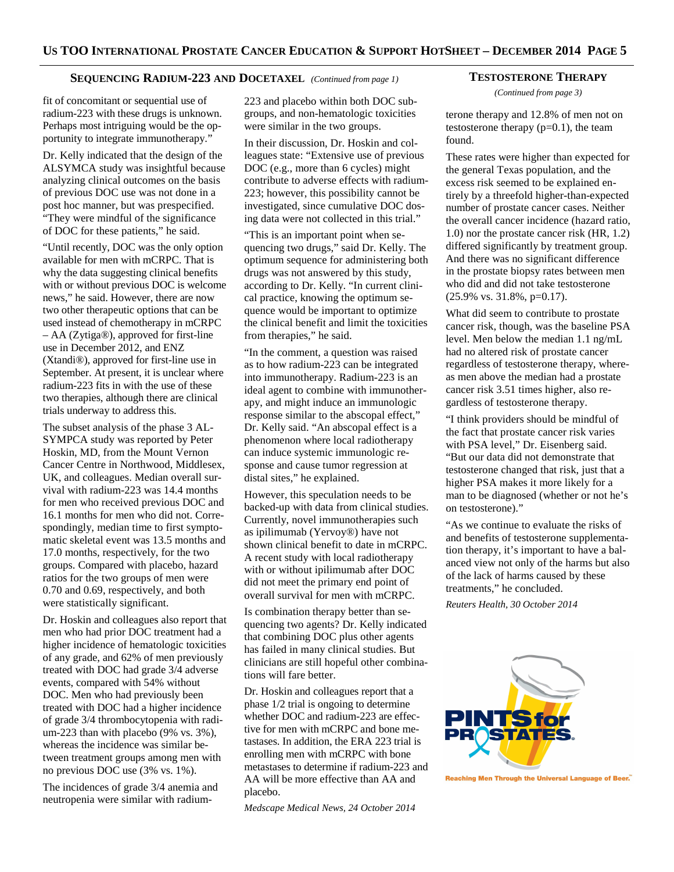## **SEQUENCING RADIUM-223 AND DOCETAXEL** *(Continued from page 1)*

fit of concomitant or sequential use of radium-223 with these drugs is unknown. Perhaps most intriguing would be the opportunity to integrate immunotherapy."

Dr. Kelly indicated that the design of the ALSYMCA study was insightful because analyzing clinical outcomes on the basis of previous DOC use was not done in a post hoc manner, but was prespecified. "They were mindful of the significance of DOC for these patients," he said.

"Until recently, DOC was the only option available for men with mCRPC. That is why the data suggesting clinical benefits with or without previous DOC is welcome news," he said. However, there are now two other therapeutic options that can be used instead of chemotherapy in mCRPC – AA (Zytiga®), approved for first-line use in December 2012, and ENZ (Xtandi®), approved for first-line use in September. At present, it is unclear where radium-223 fits in with the use of these two therapies, although there are clinical trials underway to address this.

The subset analysis of the phase 3 AL-SYMPCA study was reported by Peter Hoskin, MD, from the Mount Vernon Cancer Centre in Northwood, Middlesex, UK, and colleagues. Median overall survival with radium-223 was 14.4 months for men who received previous DOC and 16.1 months for men who did not. Correspondingly, median time to first symptomatic skeletal event was 13.5 months and 17.0 months, respectively, for the two groups. Compared with placebo, hazard ratios for the two groups of men were 0.70 and 0.69, respectively, and both were statistically significant.

Dr. Hoskin and colleagues also report that men who had prior DOC treatment had a higher incidence of hematologic toxicities of any grade, and 62% of men previously treated with DOC had grade 3/4 adverse events, compared with 54% without DOC. Men who had previously been treated with DOC had a higher incidence of grade 3/4 thrombocytopenia with radium-223 than with placebo (9% vs. 3%), whereas the incidence was similar between treatment groups among men with no previous DOC use (3% vs. 1%).

The incidences of grade 3/4 anemia and neutropenia were similar with radium-

223 and placebo within both DOC subgroups, and non-hematologic toxicities were similar in the two groups.

In their discussion, Dr. Hoskin and colleagues state: "Extensive use of previous DOC (e.g., more than 6 cycles) might contribute to adverse effects with radium-223; however, this possibility cannot be investigated, since cumulative DOC dosing data were not collected in this trial."

"This is an important point when sequencing two drugs," said Dr. Kelly. The optimum sequence for administering both drugs was not answered by this study, according to Dr. Kelly. "In current clinical practice, knowing the optimum sequence would be important to optimize the clinical benefit and limit the toxicities from therapies," he said.

"In the comment, a question was raised as to how radium-223 can be integrated into immunotherapy. Radium-223 is an ideal agent to combine with immunotherapy, and might induce an immunologic response similar to the abscopal effect," Dr. Kelly said. "An abscopal effect is a phenomenon where local radiotherapy can induce systemic immunologic response and cause tumor regression at distal sites," he explained.

However, this speculation needs to be backed-up with data from clinical studies. Currently, novel immunotherapies such as ipilimumab (Yervoy®) have not shown clinical benefit to date in mCRPC. A recent study with local radiotherapy with or without ipilimumab after DOC did not meet the primary end point of overall survival for men with mCRPC.

Is combination therapy better than sequencing two agents? Dr. Kelly indicated that combining DOC plus other agents has failed in many clinical studies. But clinicians are still hopeful other combinations will fare better.

Dr. Hoskin and colleagues report that a phase 1/2 trial is ongoing to determine whether DOC and radium-223 are effective for men with mCRPC and bone metastases. In addition, the ERA 223 trial is enrolling men with mCRPC with bone metastases to determine if radium-223 and AA will be more effective than AA and placebo.

*Medscape Medical News, 24 October 2014* 

#### **TESTOSTERONE THERAPY**

*(Continued from page 3)* 

terone therapy and 12.8% of men not on testosterone therapy  $(p=0.1)$ , the team found.

These rates were higher than expected for the general Texas population, and the excess risk seemed to be explained entirely by a threefold higher-than-expected number of prostate cancer cases. Neither the overall cancer incidence (hazard ratio, 1.0) nor the prostate cancer risk (HR, 1.2) differed significantly by treatment group. And there was no significant difference in the prostate biopsy rates between men who did and did not take testosterone (25.9% vs. 31.8%, p=0.17).

What did seem to contribute to prostate cancer risk, though, was the baseline PSA level. Men below the median 1.1 ng/mL had no altered risk of prostate cancer regardless of testosterone therapy, whereas men above the median had a prostate cancer risk 3.51 times higher, also regardless of testosterone therapy.

"I think providers should be mindful of the fact that prostate cancer risk varies with PSA level," Dr. Eisenberg said. "But our data did not demonstrate that testosterone changed that risk, just that a higher PSA makes it more likely for a man to be diagnosed (whether or not he's on testosterone)."

"As we continue to evaluate the risks of and benefits of testosterone supplementation therapy, it's important to have a balanced view not only of the harms but also of the lack of harms caused by these treatments," he concluded.

*Reuters Health, 30 October 2014* 



Reaching Men Through the Universal Language of Beer."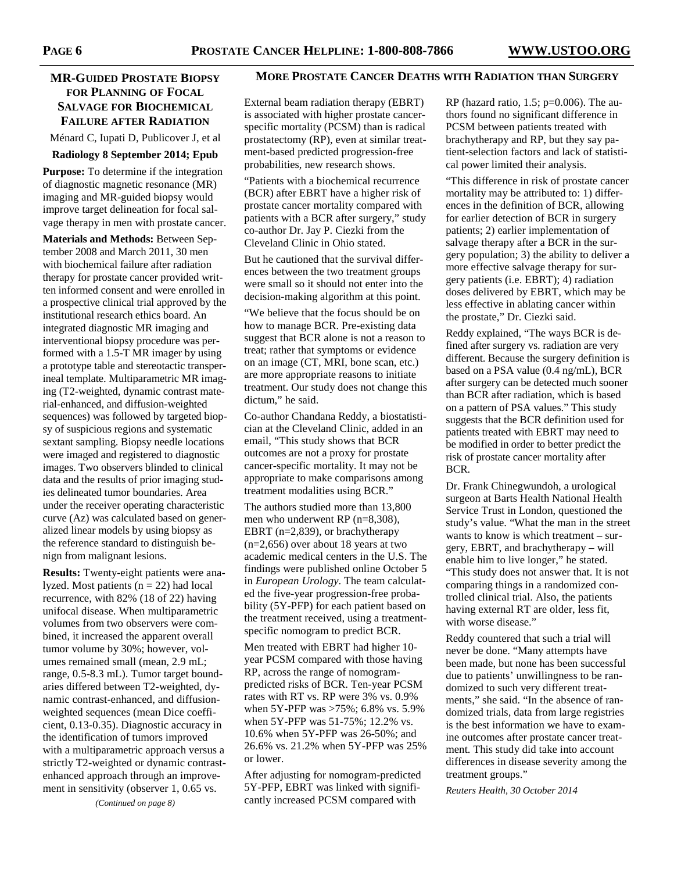# **MR-GUIDED PROSTATE BIOPSY FOR PLANNING OF FOCAL SALVAGE FOR BIOCHEMICAL FAILURE AFTER RADIATION**

Ménard C, Iupati D, Publicover J, et al

#### **Radiology 8 September 2014; Epub**

**Purpose:** To determine if the integration of diagnostic magnetic resonance (MR) imaging and MR-guided biopsy would improve target delineation for focal salvage therapy in men with prostate cancer.

**Materials and Methods:** Between September 2008 and March 2011, 30 men with biochemical failure after radiation therapy for prostate cancer provided written informed consent and were enrolled in a prospective clinical trial approved by the institutional research ethics board. An integrated diagnostic MR imaging and interventional biopsy procedure was performed with a 1.5-T MR imager by using a prototype table and stereotactic transperineal template. Multiparametric MR imaging (T2-weighted, dynamic contrast material-enhanced, and diffusion-weighted sequences) was followed by targeted biopsy of suspicious regions and systematic sextant sampling. Biopsy needle locations were imaged and registered to diagnostic images. Two observers blinded to clinical data and the results of prior imaging studies delineated tumor boundaries. Area under the receiver operating characteristic curve (Az) was calculated based on generalized linear models by using biopsy as the reference standard to distinguish benign from malignant lesions.

**Results:** Twenty-eight patients were analyzed. Most patients  $(n = 22)$  had local recurrence, with 82% (18 of 22) having unifocal disease. When multiparametric volumes from two observers were combined, it increased the apparent overall tumor volume by 30%; however, volumes remained small (mean, 2.9 mL; range, 0.5-8.3 mL). Tumor target boundaries differed between T2-weighted, dynamic contrast-enhanced, and diffusionweighted sequences (mean Dice coefficient, 0.13-0.35). Diagnostic accuracy in the identification of tumors improved with a multiparametric approach versus a strictly T2-weighted or dynamic contrastenhanced approach through an improvement in sensitivity (observer 1, 0.65 vs.

*(Continued on page 8)* 

## **MORE PROSTATE CANCER DEATHS WITH RADIATION THAN SURGERY**

External beam radiation therapy (EBRT) is associated with higher prostate cancerspecific mortality (PCSM) than is radical prostatectomy (RP), even at similar treatment-based predicted progression-free probabilities, new research shows.

"Patients with a biochemical recurrence (BCR) after EBRT have a higher risk of prostate cancer mortality compared with patients with a BCR after surgery," study co-author Dr. Jay P. Ciezki from the Cleveland Clinic in Ohio stated.

But he cautioned that the survival differences between the two treatment groups were small so it should not enter into the decision-making algorithm at this point.

"We believe that the focus should be on how to manage BCR. Pre-existing data suggest that BCR alone is not a reason to treat; rather that symptoms or evidence on an image (CT, MRI, bone scan, etc.) are more appropriate reasons to initiate treatment. Our study does not change this dictum," he said.

Co-author Chandana Reddy, a biostatistician at the Cleveland Clinic, added in an email, "This study shows that BCR outcomes are not a proxy for prostate cancer-specific mortality. It may not be appropriate to make comparisons among treatment modalities using BCR."

The authors studied more than 13,800 men who underwent RP (n=8,308), EBRT (n=2,839), or brachytherapy  $(n=2,656)$  over about 18 years at two academic medical centers in the U.S. The findings were published online October 5 in *European Urology*. The team calculated the five-year progression-free probability (5Y-PFP) for each patient based on the treatment received, using a treatmentspecific nomogram to predict BCR.

Men treated with EBRT had higher 10 year PCSM compared with those having RP, across the range of nomogrampredicted risks of BCR. Ten-year PCSM rates with RT vs. RP were 3% vs. 0.9% when 5Y-PFP was >75%; 6.8% vs. 5.9% when 5Y-PFP was 51-75%; 12.2% vs. 10.6% when 5Y-PFP was 26-50%; and 26.6% vs. 21.2% when 5Y-PFP was 25% or lower.

After adjusting for nomogram-predicted 5Y-PFP, EBRT was linked with significantly increased PCSM compared with

RP (hazard ratio,  $1.5$ ;  $p=0.006$ ). The authors found no significant difference in PCSM between patients treated with brachytherapy and RP, but they say patient-selection factors and lack of statistical power limited their analysis.

"This difference in risk of prostate cancer mortality may be attributed to: 1) differences in the definition of BCR, allowing for earlier detection of BCR in surgery patients; 2) earlier implementation of salvage therapy after a BCR in the surgery population; 3) the ability to deliver a more effective salvage therapy for surgery patients (i.e. EBRT); 4) radiation doses delivered by EBRT, which may be less effective in ablating cancer within the prostate," Dr. Ciezki said.

Reddy explained, "The ways BCR is defined after surgery vs. radiation are very different. Because the surgery definition is based on a PSA value (0.4 ng/mL), BCR after surgery can be detected much sooner than BCR after radiation, which is based on a pattern of PSA values." This study suggests that the BCR definition used for patients treated with EBRT may need to be modified in order to better predict the risk of prostate cancer mortality after BCR.

Dr. Frank Chinegwundoh, a urological surgeon at Barts Health National Health Service Trust in London, questioned the study's value. "What the man in the street wants to know is which treatment – surgery, EBRT, and brachytherapy – will enable him to live longer," he stated. "This study does not answer that. It is not comparing things in a randomized controlled clinical trial. Also, the patients having external RT are older, less fit, with worse disease."

Reddy countered that such a trial will never be done. "Many attempts have been made, but none has been successful due to patients' unwillingness to be randomized to such very different treatments," she said. "In the absence of randomized trials, data from large registries is the best information we have to examine outcomes after prostate cancer treatment. This study did take into account differences in disease severity among the treatment groups."

*Reuters Health, 30 October 2014*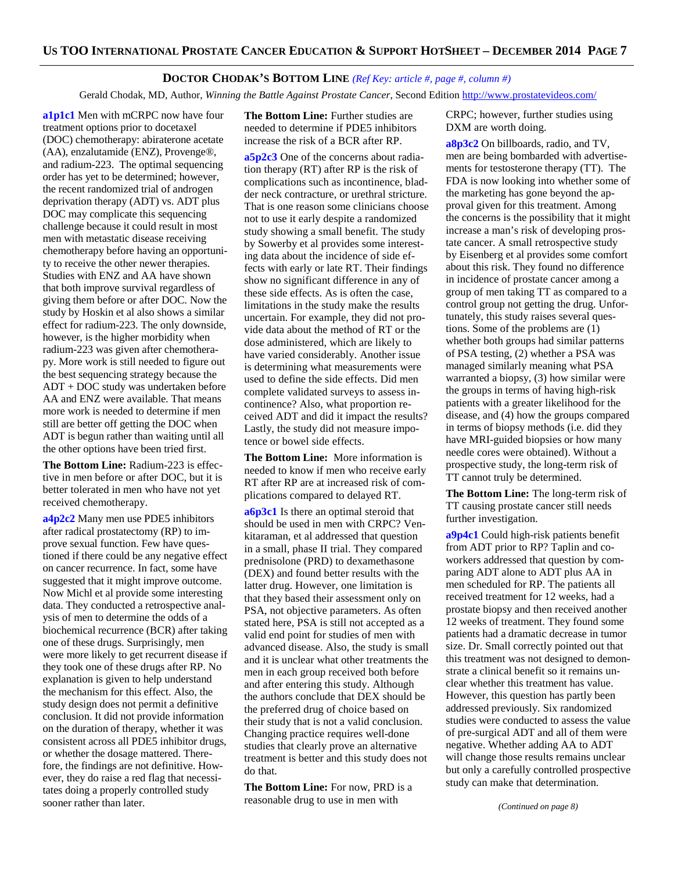## **DOCTOR CHODAK'S BOTTOM LINE** *(Ref Key: article #, page #, column #)*

Gerald Chodak, MD, Author, *Winning the Battle Against Prostate Cancer*, Second Edition http://www.prostatevideos.com/

**a1p1c1** Men with mCRPC now have four treatment options prior to docetaxel (DOC) chemotherapy: abiraterone acetate (AA), enzalutamide (ENZ), Provenge®, and radium-223. The optimal sequencing order has yet to be determined; however, the recent randomized trial of androgen deprivation therapy (ADT) vs. ADT plus DOC may complicate this sequencing challenge because it could result in most men with metastatic disease receiving chemotherapy before having an opportunity to receive the other newer therapies. Studies with ENZ and AA have shown that both improve survival regardless of giving them before or after DOC. Now the study by Hoskin et al also shows a similar effect for radium-223. The only downside, however, is the higher morbidity when radium-223 was given after chemotherapy. More work is still needed to figure out the best sequencing strategy because the ADT + DOC study was undertaken before AA and ENZ were available. That means more work is needed to determine if men still are better off getting the DOC when ADT is begun rather than waiting until all the other options have been tried first.

**The Bottom Line:** Radium-223 is effective in men before or after DOC, but it is better tolerated in men who have not yet received chemotherapy.

**a4p2c2** Many men use PDE5 inhibitors after radical prostatectomy (RP) to improve sexual function. Few have questioned if there could be any negative effect on cancer recurrence. In fact, some have suggested that it might improve outcome. Now Michl et al provide some interesting data. They conducted a retrospective analysis of men to determine the odds of a biochemical recurrence (BCR) after taking one of these drugs. Surprisingly, men were more likely to get recurrent disease if they took one of these drugs after RP. No explanation is given to help understand the mechanism for this effect. Also, the study design does not permit a definitive conclusion. It did not provide information on the duration of therapy, whether it was consistent across all PDE5 inhibitor drugs, or whether the dosage mattered. Therefore, the findings are not definitive. However, they do raise a red flag that necessitates doing a properly controlled study sooner rather than later.

**The Bottom Line:** Further studies are needed to determine if PDE5 inhibitors increase the risk of a BCR after RP.

**a5p2c3** One of the concerns about radiation therapy (RT) after RP is the risk of complications such as incontinence, bladder neck contracture, or urethral stricture. That is one reason some clinicians choose not to use it early despite a randomized study showing a small benefit. The study by Sowerby et al provides some interesting data about the incidence of side effects with early or late RT. Their findings show no significant difference in any of these side effects. As is often the case, limitations in the study make the results uncertain. For example, they did not provide data about the method of RT or the dose administered, which are likely to have varied considerably. Another issue is determining what measurements were used to define the side effects. Did men complete validated surveys to assess incontinence? Also, what proportion received ADT and did it impact the results? Lastly, the study did not measure impotence or bowel side effects.

**The Bottom Line:** More information is needed to know if men who receive early RT after RP are at increased risk of complications compared to delayed RT.

**a6p3c1** Is there an optimal steroid that should be used in men with CRPC? Venkitaraman, et al addressed that question in a small, phase II trial. They compared prednisolone (PRD) to dexamethasone (DEX) and found better results with the latter drug. However, one limitation is that they based their assessment only on PSA, not objective parameters. As often stated here, PSA is still not accepted as a valid end point for studies of men with advanced disease. Also, the study is small and it is unclear what other treatments the men in each group received both before and after entering this study. Although the authors conclude that DEX should be the preferred drug of choice based on their study that is not a valid conclusion. Changing practice requires well-done studies that clearly prove an alternative treatment is better and this study does not do that.

**The Bottom Line:** For now, PRD is a reasonable drug to use in men with

CRPC; however, further studies using DXM are worth doing.

**a8p3c2** On billboards, radio, and TV, men are being bombarded with advertisements for testosterone therapy (TT). The FDA is now looking into whether some of the marketing has gone beyond the approval given for this treatment. Among the concerns is the possibility that it might increase a man's risk of developing prostate cancer. A small retrospective study by Eisenberg et al provides some comfort about this risk. They found no difference in incidence of prostate cancer among a group of men taking TT as compared to a control group not getting the drug. Unfortunately, this study raises several questions. Some of the problems are (1) whether both groups had similar patterns of PSA testing, (2) whether a PSA was managed similarly meaning what PSA warranted a biopsy, (3) how similar were the groups in terms of having high-risk patients with a greater likelihood for the disease, and (4) how the groups compared in terms of biopsy methods (i.e. did they have MRI-guided biopsies or how many needle cores were obtained). Without a prospective study, the long-term risk of TT cannot truly be determined.

**The Bottom Line:** The long-term risk of TT causing prostate cancer still needs further investigation.

**a9p4c1** Could high-risk patients benefit from ADT prior to RP? Taplin and coworkers addressed that question by comparing ADT alone to ADT plus AA in men scheduled for RP. The patients all received treatment for 12 weeks, had a prostate biopsy and then received another 12 weeks of treatment. They found some patients had a dramatic decrease in tumor size. Dr. Small correctly pointed out that this treatment was not designed to demonstrate a clinical benefit so it remains unclear whether this treatment has value. However, this question has partly been addressed previously. Six randomized studies were conducted to assess the value of pre-surgical ADT and all of them were negative. Whether adding AA to ADT will change those results remains unclear but only a carefully controlled prospective study can make that determination.

*(Continued on page 8)*